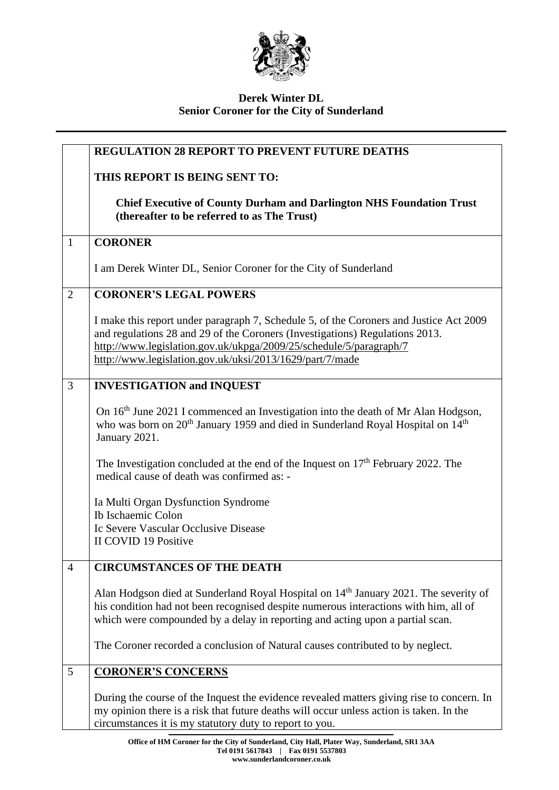

## **Derek Winter DL Senior Coroner for the City of Sunderland**

|                | <b>REGULATION 28 REPORT TO PREVENT FUTURE DEATHS</b>                                                                                                                                                                                                                                                     |
|----------------|----------------------------------------------------------------------------------------------------------------------------------------------------------------------------------------------------------------------------------------------------------------------------------------------------------|
|                | THIS REPORT IS BEING SENT TO:                                                                                                                                                                                                                                                                            |
|                | <b>Chief Executive of County Durham and Darlington NHS Foundation Trust</b><br>(thereafter to be referred to as The Trust)                                                                                                                                                                               |
| $\mathbf{1}$   | <b>CORONER</b>                                                                                                                                                                                                                                                                                           |
|                | I am Derek Winter DL, Senior Coroner for the City of Sunderland                                                                                                                                                                                                                                          |
| $\overline{2}$ | <b>CORONER'S LEGAL POWERS</b>                                                                                                                                                                                                                                                                            |
|                | I make this report under paragraph 7, Schedule 5, of the Coroners and Justice Act 2009<br>and regulations 28 and 29 of the Coroners (Investigations) Regulations 2013.<br>http://www.legislation.gov.uk/ukpga/2009/25/schedule/5/paragraph/7<br>http://www.legislation.gov.uk/uksi/2013/1629/part/7/made |
| 3              | <b>INVESTIGATION and INQUEST</b>                                                                                                                                                                                                                                                                         |
|                | On 16 <sup>th</sup> June 2021 I commenced an Investigation into the death of Mr Alan Hodgson,<br>who was born on 20 <sup>th</sup> January 1959 and died in Sunderland Royal Hospital on 14 <sup>th</sup><br>January 2021.                                                                                |
|                | The Investigation concluded at the end of the Inquest on $17th$ February 2022. The<br>medical cause of death was confirmed as: -                                                                                                                                                                         |
|                | Ia Multi Organ Dysfunction Syndrome                                                                                                                                                                                                                                                                      |
|                | Ib Ischaemic Colon<br>Ic Severe Vascular Occlusive Disease                                                                                                                                                                                                                                               |
|                | II COVID 19 Positive                                                                                                                                                                                                                                                                                     |
| $\overline{4}$ | <b>CIRCUMSTANCES OF THE DEATH</b>                                                                                                                                                                                                                                                                        |
|                | Alan Hodgson died at Sunderland Royal Hospital on 14 <sup>th</sup> January 2021. The severity of<br>his condition had not been recognised despite numerous interactions with him, all of<br>which were compounded by a delay in reporting and acting upon a partial scan.                                |
|                | The Coroner recorded a conclusion of Natural causes contributed to by neglect.                                                                                                                                                                                                                           |
| 5              | <b>CORONER'S CONCERNS</b>                                                                                                                                                                                                                                                                                |
|                | During the course of the Inquest the evidence revealed matters giving rise to concern. In<br>my opinion there is a risk that future deaths will occur unless action is taken. In the<br>circumstances it is my statutory duty to report to you.                                                          |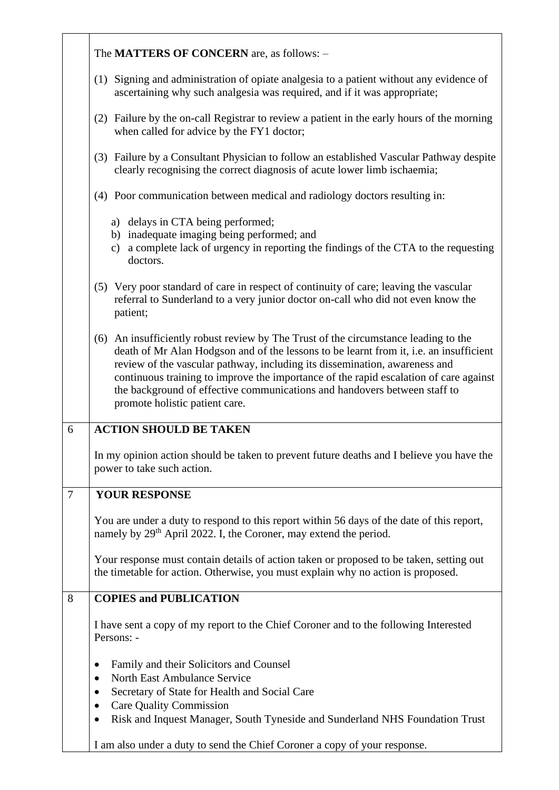|                | The <b>MATTERS OF CONCERN</b> are, as follows: -                                                                                                                                                                                                                                                                                                                                                                                                                    |
|----------------|---------------------------------------------------------------------------------------------------------------------------------------------------------------------------------------------------------------------------------------------------------------------------------------------------------------------------------------------------------------------------------------------------------------------------------------------------------------------|
|                | (1) Signing and administration of opiate analgesia to a patient without any evidence of<br>ascertaining why such analgesia was required, and if it was appropriate;                                                                                                                                                                                                                                                                                                 |
|                | Failure by the on-call Registrar to review a patient in the early hours of the morning<br>(2)<br>when called for advice by the FY1 doctor;                                                                                                                                                                                                                                                                                                                          |
|                | (3) Failure by a Consultant Physician to follow an established Vascular Pathway despite<br>clearly recognising the correct diagnosis of acute lower limb ischaemia;                                                                                                                                                                                                                                                                                                 |
|                | (4) Poor communication between medical and radiology doctors resulting in:                                                                                                                                                                                                                                                                                                                                                                                          |
|                | a) delays in CTA being performed;<br>b) inadequate imaging being performed; and<br>c) a complete lack of urgency in reporting the findings of the CTA to the requesting<br>doctors.                                                                                                                                                                                                                                                                                 |
|                | (5) Very poor standard of care in respect of continuity of care; leaving the vascular<br>referral to Sunderland to a very junior doctor on-call who did not even know the<br>patient;                                                                                                                                                                                                                                                                               |
|                | (6) An insufficiently robust review by The Trust of the circumstance leading to the<br>death of Mr Alan Hodgson and of the lessons to be learnt from it, i.e. an insufficient<br>review of the vascular pathway, including its dissemination, awareness and<br>continuous training to improve the importance of the rapid escalation of care against<br>the background of effective communications and handovers between staff to<br>promote holistic patient care. |
| 6              | <b>ACTION SHOULD BE TAKEN</b>                                                                                                                                                                                                                                                                                                                                                                                                                                       |
|                | In my opinion action should be taken to prevent future deaths and I believe you have the<br>power to take such action.                                                                                                                                                                                                                                                                                                                                              |
| $\overline{7}$ | <b>YOUR RESPONSE</b>                                                                                                                                                                                                                                                                                                                                                                                                                                                |
|                | You are under a duty to respond to this report within 56 days of the date of this report,<br>namely by 29 <sup>th</sup> April 2022. I, the Coroner, may extend the period.                                                                                                                                                                                                                                                                                          |
|                | Your response must contain details of action taken or proposed to be taken, setting out<br>the timetable for action. Otherwise, you must explain why no action is proposed.                                                                                                                                                                                                                                                                                         |
| 8              | <b>COPIES and PUBLICATION</b>                                                                                                                                                                                                                                                                                                                                                                                                                                       |
|                | I have sent a copy of my report to the Chief Coroner and to the following Interested<br>Persons: -                                                                                                                                                                                                                                                                                                                                                                  |
|                | Family and their Solicitors and Counsel<br>$\bullet$                                                                                                                                                                                                                                                                                                                                                                                                                |
|                | <b>North East Ambulance Service</b><br>$\bullet$<br>Secretary of State for Health and Social Care<br>$\bullet$                                                                                                                                                                                                                                                                                                                                                      |
|                | <b>Care Quality Commission</b><br>$\bullet$                                                                                                                                                                                                                                                                                                                                                                                                                         |
|                | Risk and Inquest Manager, South Tyneside and Sunderland NHS Foundation Trust<br>$\bullet$                                                                                                                                                                                                                                                                                                                                                                           |
|                | I am also under a duty to send the Chief Coroner a copy of your response.                                                                                                                                                                                                                                                                                                                                                                                           |